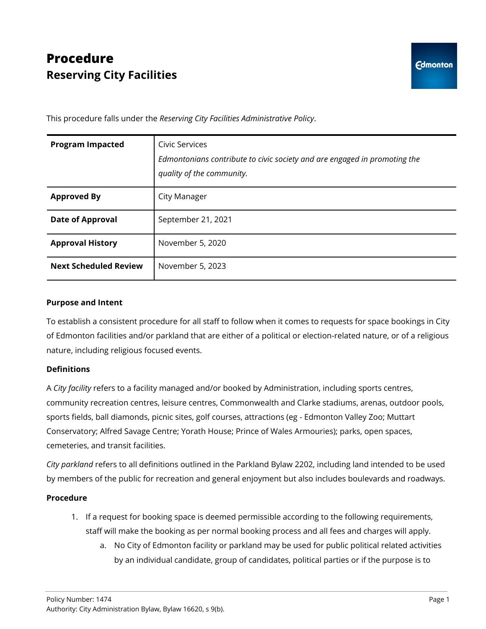## **Procedure Reserving City Facilities**

This procedure falls under the *Reserving City Facilities Administrative Policy*.

| <b>Program Impacted</b>      | Civic Services<br>Edmontonians contribute to civic society and are engaged in promoting the<br>quality of the community. |
|------------------------------|--------------------------------------------------------------------------------------------------------------------------|
| <b>Approved By</b>           | City Manager                                                                                                             |
| <b>Date of Approval</b>      | September 21, 2021                                                                                                       |
| <b>Approval History</b>      | November 5, 2020                                                                                                         |
| <b>Next Scheduled Review</b> | November 5, 2023                                                                                                         |

## **Purpose and Intent**

To establish a consistent procedure for all staff to follow when it comes to requests for space bookings in City of Edmonton facilities and/or parkland that are either of a political or election-related nature, or of a religious nature, including religious focused events.

## **Definitions**

A *City facility* refers to a facility managed and/or booked by Administration, including sports centres, community recreation centres, leisure centres, Commonwealth and Clarke stadiums, arenas, outdoor pools, sports fields, ball diamonds, picnic sites, golf courses, attractions (eg - Edmonton Valley Zoo; Muttart Conservatory; Alfred Savage Centre; Yorath House; Prince of Wales Armouries); parks, open spaces, cemeteries, and transit facilities.

*City parkland* refers to all definitions outlined in the Parkland Bylaw 2202, including land intended to be used by members of the public for recreation and general enjoyment but also includes boulevards and roadways.

## **Procedure**

- 1. If a request for booking space is deemed permissible according to the following requirements, staff will make the booking as per normal booking process and all fees and charges will apply.
	- a. No City of Edmonton facility or parkland may be used for public political related activities by an individual candidate, group of candidates, political parties or if the purpose is to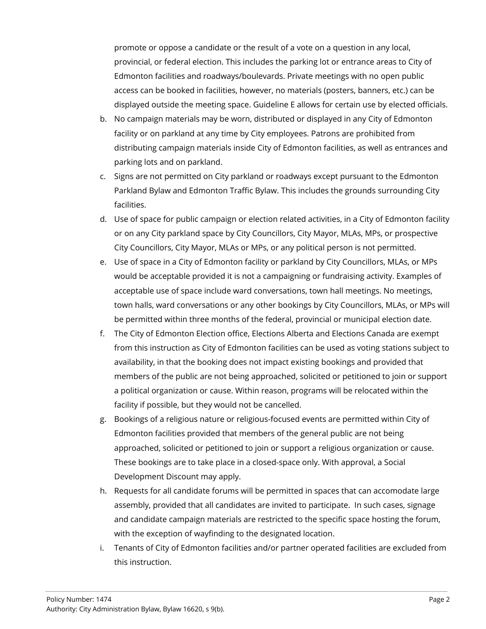promote or oppose a candidate or the result of a vote on a question in any local, provincial, or federal election. This includes the parking lot or entrance areas to City of Edmonton facilities and roadways/boulevards. Private meetings with no open public access can be booked in facilities, however, no materials (posters, banners, etc.) can be displayed outside the meeting space. Guideline E allows for certain use by elected officials.

- b. No campaign materials may be worn, distributed or displayed in any City of Edmonton facility or on parkland at any time by City employees. Patrons are prohibited from distributing campaign materials inside City of Edmonton facilities, as well as entrances and parking lots and on parkland.
- c. Signs are not permitted on City parkland or roadways except pursuant to the Edmonton Parkland Bylaw and Edmonton Traffic Bylaw. This includes the grounds surrounding City facilities.
- d. Use of space for public campaign or election related activities, in a City of Edmonton facility or on any City parkland space by City Councillors, City Mayor, MLAs, MPs, or prospective City Councillors, City Mayor, MLAs or MPs, or any political person is not permitted.
- e. Use of space in a City of Edmonton facility or parkland by City Councillors, MLAs, or MPs would be acceptable provided it is not a campaigning or fundraising activity. Examples of acceptable use of space include ward conversations, town hall meetings. No meetings, town halls, ward conversations or any other bookings by City Councillors, MLAs, or MPs will be permitted within three months of the federal, provincial or municipal election date.
- f. The City of Edmonton Election office, Elections Alberta and Elections Canada are exempt from this instruction as City of Edmonton facilities can be used as voting stations subject to availability, in that the booking does not impact existing bookings and provided that members of the public are not being approached, solicited or petitioned to join or support a political organization or cause. Within reason, programs will be relocated within the facility if possible, but they would not be cancelled.
- g. Bookings of a religious nature or religious-focused events are permitted within City of Edmonton facilities provided that members of the general public are not being approached, solicited or petitioned to join or support a religious organization or cause. These bookings are to take place in a closed-space only. With approval, a Social Development Discount may apply.
- h. Requests for all candidate forums will be permitted in spaces that can accomodate large assembly, provided that all candidates are invited to participate. In such cases, signage and candidate campaign materials are restricted to the specific space hosting the forum, with the exception of wayfinding to the designated location.
- i. Tenants of City of Edmonton facilities and/or partner operated facilities are excluded from this instruction.